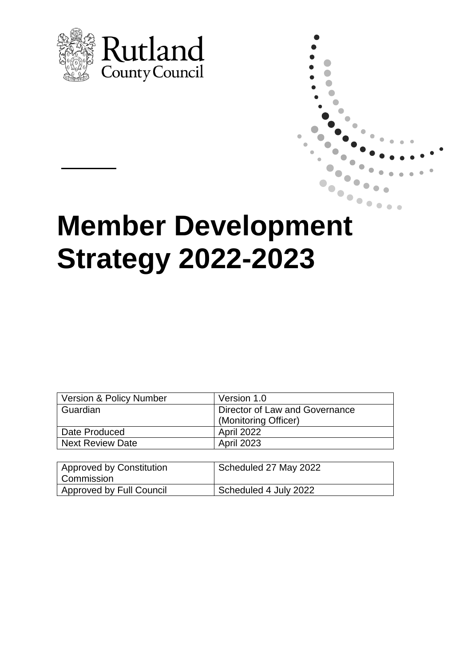

# **Member Development Strategy 2022-2023**

| Version & Policy Number | Version 1.0                    |
|-------------------------|--------------------------------|
| l Guardian              | Director of Law and Governance |
|                         | (Monitoring Officer)           |
| Date Produced           | <b>April 2022</b>              |
| Next Review Date        | <b>April 2023</b>              |

| Approved by Constitution<br>  Commission | Scheduled 27 May 2022 |
|------------------------------------------|-----------------------|
| Approved by Full Council                 | Scheduled 4 July 2022 |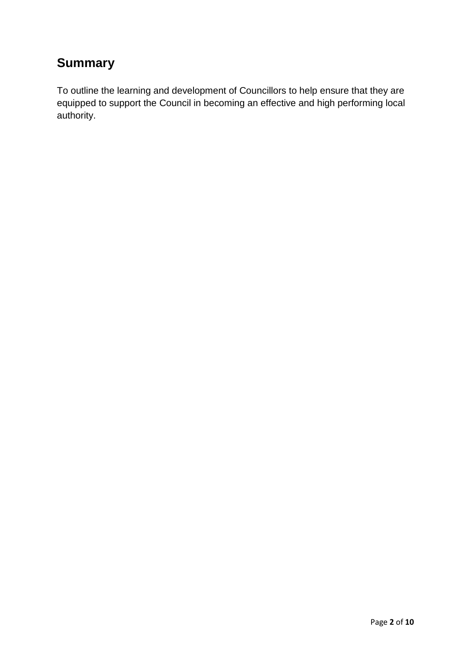## **Summary**

To outline the learning and development of Councillors to help ensure that they are equipped to support the Council in becoming an effective and high performing local authority.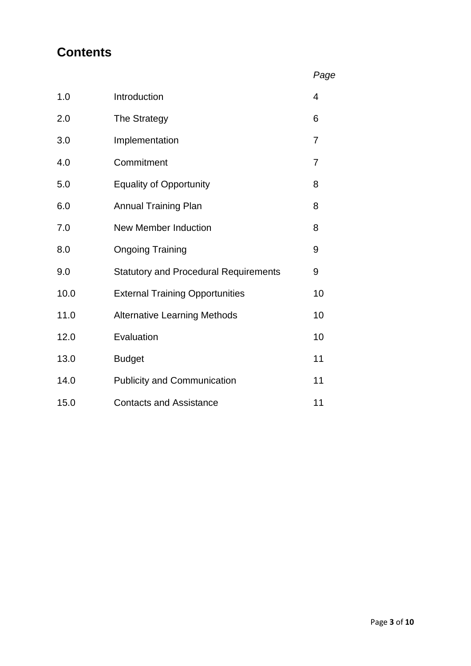## **Contents**

*Page*

| 1.0  | Introduction                                 | $\overline{4}$ |
|------|----------------------------------------------|----------------|
| 2.0  | The Strategy                                 | 6              |
| 3.0  | Implementation                               | 7              |
| 4.0  | Commitment                                   | 7              |
| 5.0  | <b>Equality of Opportunity</b>               | 8              |
| 6.0  | <b>Annual Training Plan</b>                  | 8              |
| 7.0  | <b>New Member Induction</b>                  | 8              |
| 8.0  | <b>Ongoing Training</b>                      | 9              |
| 9.0  | <b>Statutory and Procedural Requirements</b> | 9              |
| 10.0 | <b>External Training Opportunities</b>       | 10             |
| 11.0 | <b>Alternative Learning Methods</b>          | 10             |
| 12.0 | Evaluation                                   | 10             |
| 13.0 | <b>Budget</b>                                | 11             |
| 14.0 | <b>Publicity and Communication</b>           | 11             |
| 15.0 | <b>Contacts and Assistance</b>               | 11             |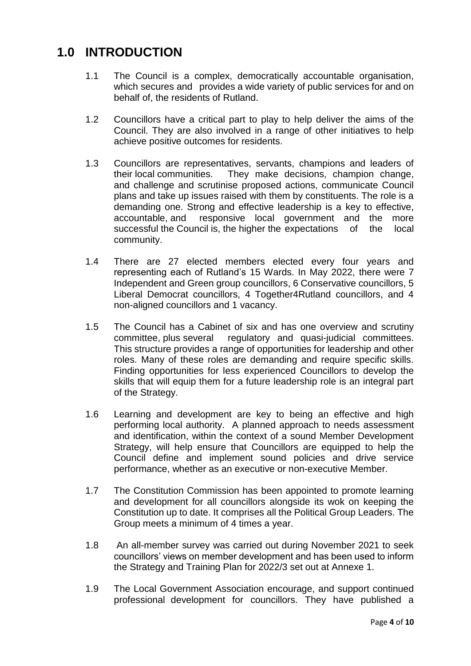#### **1.0 INTRODUCTION**

- 1.1 The Council is a complex, democratically accountable organisation, which secures and provides a wide variety of public services for and on behalf of, the residents of Rutland.
- 1.2 Councillors have a critical part to play to help deliver the aims of the Council. They are also involved in a range of other initiatives to help achieve positive outcomes for residents.
- 1.3 Councillors are representatives, servants, champions and leaders of their local communities. They make decisions, champion change, and challenge and scrutinise proposed actions, communicate Council plans and take up issues raised with them by constituents. The role is a demanding one. Strong and effective leadership is a key to effective, accountable, and responsive local government and the more successful the Council is, the higher the expectations of the local community.
- 1.4 There are 27 elected members elected every four years and representing each of Rutland's 15 Wards. In May 2022, there were 7 Independent and Green group councillors, 6 Conservative councillors, 5 Liberal Democrat councillors, 4 Together4Rutland councillors, and 4 non-aligned councillors and 1 vacancy.
- 1.5 The Council has a Cabinet of six and has one overview and scrutiny committee, plus several regulatory and quasi-judicial committees. This structure provides a range of opportunities for leadership and other roles. Many of these roles are demanding and require specific skills. Finding opportunities for less experienced Councillors to develop the skills that will equip them for a future leadership role is an integral part of the Strategy.
- 1.6 Learning and development are key to being an effective and high performing local authority. A planned approach to needs assessment and identification, within the context of a sound Member Development Strategy, will help ensure that Councillors are equipped to help the Council define and implement sound policies and drive service performance, whether as an executive or non-executive Member.
- 1.7 The Constitution Commission has been appointed to promote learning and development for all councillors alongside its wok on keeping the Constitution up to date. It comprises all the Political Group Leaders. The Group meets a minimum of 4 times a year.
- 1.8 An all-member survey was carried out during November 2021 to seek councillors' views on member development and has been used to inform the Strategy and Training Plan for 2022/3 set out at Annexe 1.
- 1.9 The Local Government Association encourage, and support continued professional development for councillors. They have published a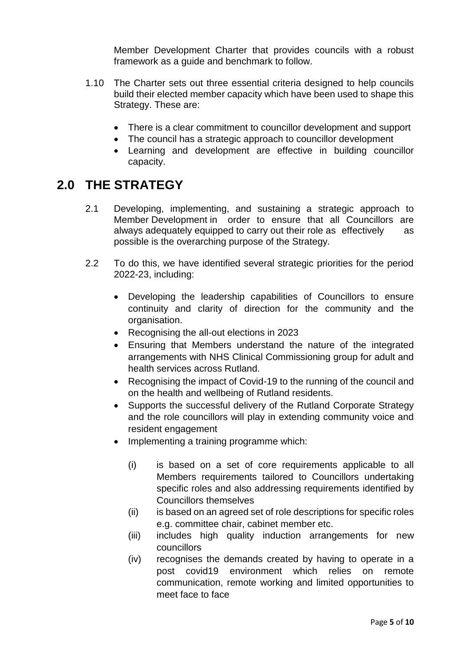Member Development Charter that provides councils with a robust framework as a guide and benchmark to follow.

- 1.10 The Charter sets out three essential criteria designed to help councils build their elected member capacity which have been used to shape this Strategy. These are:
	- There is a clear commitment to councillor development and support
	- The council has a strategic approach to councillor development
	- Learning and development are effective in building councillor capacity.

#### **2.0 THE STRATEGY**

- 2.1 Developing, implementing, and sustaining a strategic approach to Member Development in order to ensure that all Councillors are always adequately equipped to carry out their role as effectively as possible is the overarching purpose of the Strategy.
- 2.2 To do this, we have identified several strategic priorities for the period 2022-23, including:
	- Developing the leadership capabilities of Councillors to ensure continuity and clarity of direction for the community and the organisation.
	- Recognising the all-out elections in 2023
	- Ensuring that Members understand the nature of the integrated arrangements with NHS Clinical Commissioning group for adult and health services across Rutland.
	- Recognising the impact of Covid-19 to the running of the council and on the health and wellbeing of Rutland residents.
	- Supports the successful delivery of the Rutland Corporate Strategy and the role councillors will play in extending community voice and resident engagement
	- Implementing a training programme which:
		- (i) is based on a set of core requirements applicable to all Members requirements tailored to Councillors undertaking specific roles and also addressing requirements identified by Councillors themselves
		- (ii) is based on an agreed set of role descriptions for specific roles e.g. committee chair, cabinet member etc.
		- (iii) includes high quality induction arrangements for new councillors
		- (iv) recognises the demands created by having to operate in a post covid19 environment which relies on remote communication, remote working and limited opportunities to meet face to face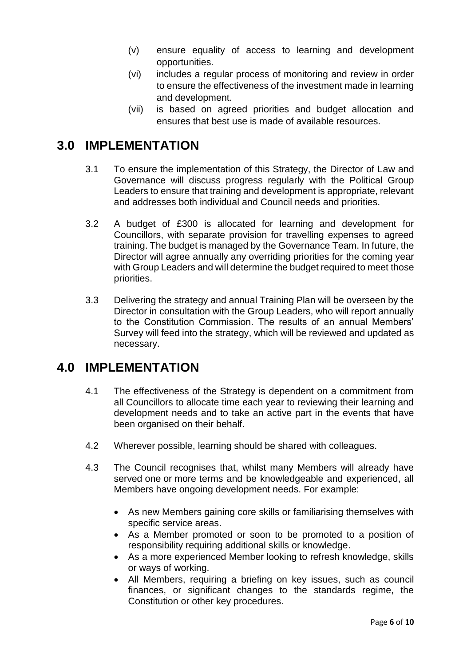- (v) ensure equality of access to learning and development opportunities.
- (vi) includes a regular process of monitoring and review in order to ensure the effectiveness of the investment made in learning and development.
- (vii) is based on agreed priorities and budget allocation and ensures that best use is made of available resources.

#### **3.0 IMPLEMENTATION**

- 3.1 To ensure the implementation of this Strategy, the Director of Law and Governance will discuss progress regularly with the Political Group Leaders to ensure that training and development is appropriate, relevant and addresses both individual and Council needs and priorities.
- 3.2 A budget of £300 is allocated for learning and development for Councillors, with separate provision for travelling expenses to agreed training. The budget is managed by the Governance Team. In future, the Director will agree annually any overriding priorities for the coming year with Group Leaders and will determine the budget required to meet those priorities.
- 3.3 Delivering the strategy and annual Training Plan will be overseen by the Director in consultation with the Group Leaders, who will report annually to the Constitution Commission. The results of an annual Members' Survey will feed into the strategy, which will be reviewed and updated as necessary.

#### **4.0 IMPLEMENTATION**

- 4.1 The effectiveness of the Strategy is dependent on a commitment from all Councillors to allocate time each year to reviewing their learning and development needs and to take an active part in the events that have been organised on their behalf.
- 4.2 Wherever possible, learning should be shared with colleagues.
- 4.3 The Council recognises that, whilst many Members will already have served one or more terms and be knowledgeable and experienced, all Members have ongoing development needs. For example:
	- As new Members gaining core skills or familiarising themselves with specific service areas.
	- As a Member promoted or soon to be promoted to a position of responsibility requiring additional skills or knowledge.
	- As a more experienced Member looking to refresh knowledge, skills or ways of working.
	- All Members, requiring a briefing on key issues, such as council finances, or significant changes to the standards regime, the Constitution or other key procedures.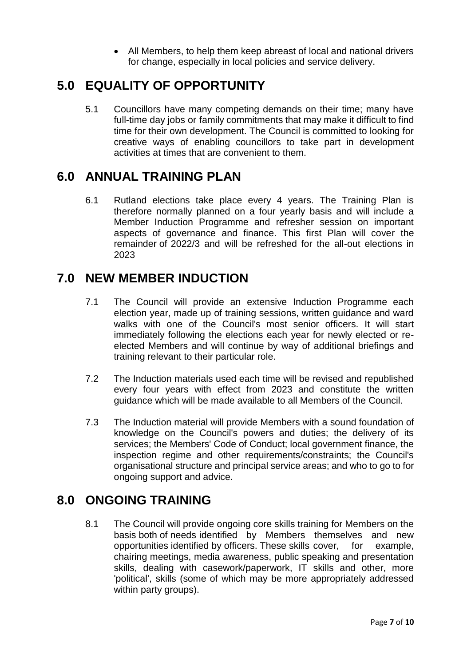All Members, to help them keep abreast of local and national drivers for change, especially in local policies and service delivery.

#### **5.0 EQUALITY OF OPPORTUNITY**

5.1 Councillors have many competing demands on their time; many have full-time day jobs or family commitments that may make it difficult to find time for their own development. The Council is committed to looking for creative ways of enabling councillors to take part in development activities at times that are convenient to them.

#### **6.0 ANNUAL TRAINING PLAN**

6.1 Rutland elections take place every 4 years. The Training Plan is therefore normally planned on a four yearly basis and will include a Member Induction Programme and refresher session on important aspects of governance and finance. This first Plan will cover the remainder of 2022/3 and will be refreshed for the all-out elections in 2023

#### **7.0 NEW MEMBER INDUCTION**

- 7.1 The Council will provide an extensive Induction Programme each election year, made up of training sessions, written guidance and ward walks with one of the Council's most senior officers. It will start immediately following the elections each year for newly elected or reelected Members and will continue by way of additional briefings and training relevant to their particular role.
- 7.2 The Induction materials used each time will be revised and republished every four years with effect from 2023 and constitute the written guidance which will be made available to all Members of the Council.
- 7.3 The Induction material will provide Members with a sound foundation of knowledge on the Council's powers and duties; the delivery of its services; the Members' Code of Conduct; local government finance, the inspection regime and other requirements/constraints; the Council's organisational structure and principal service areas; and who to go to for ongoing support and advice.

#### **8.0 ONGOING TRAINING**

8.1 The Council will provide ongoing core skills training for Members on the basis both of needs identified by Members themselves and new opportunities identified by officers. These skills cover, for example, chairing meetings, media awareness, public speaking and presentation skills, dealing with casework/paperwork, IT skills and other, more 'political', skills (some of which may be more appropriately addressed within party groups).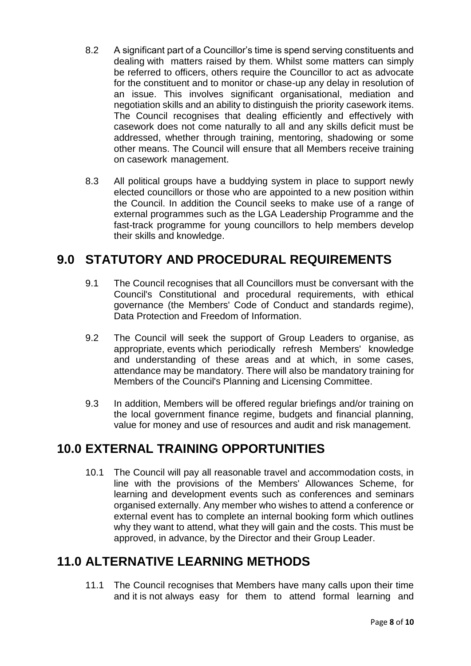- 8.2 A significant part of a Councillor's time is spend serving constituents and dealing with matters raised by them. Whilst some matters can simply be referred to officers, others require the Councillor to act as advocate for the constituent and to monitor or chase-up any delay in resolution of an issue. This involves significant organisational, mediation and negotiation skills and an ability to distinguish the priority casework items. The Council recognises that dealing efficiently and effectively with casework does not come naturally to all and any skills deficit must be addressed, whether through training, mentoring, shadowing or some other means. The Council will ensure that all Members receive training on casework management.
- 8.3 All political groups have a buddying system in place to support newly elected councillors or those who are appointed to a new position within the Council. In addition the Council seeks to make use of a range of external programmes such as the LGA Leadership Programme and the fast-track programme for young councillors to help members develop their skills and knowledge.

#### **9.0 STATUTORY AND PROCEDURAL REQUIREMENTS**

- 9.1 The Council recognises that all Councillors must be conversant with the Council's Constitutional and procedural requirements, with ethical governance (the Members' Code of Conduct and standards regime), Data Protection and Freedom of Information.
- 9.2 The Council will seek the support of Group Leaders to organise, as appropriate, events which periodically refresh Members' knowledge and understanding of these areas and at which, in some cases, attendance may be mandatory. There will also be mandatory training for Members of the Council's Planning and Licensing Committee.
- 9.3 In addition, Members will be offered regular briefings and/or training on the local government finance regime, budgets and financial planning, value for money and use of resources and audit and risk management.

#### **10.0 EXTERNAL TRAINING OPPORTUNITIES**

10.1 The Council will pay all reasonable travel and accommodation costs, in line with the provisions of the Members' Allowances Scheme, for learning and development events such as conferences and seminars organised externally. Any member who wishes to attend a conference or external event has to complete an internal booking form which outlines why they want to attend, what they will gain and the costs. This must be approved, in advance, by the Director and their Group Leader.

#### **11.0 ALTERNATIVE LEARNING METHODS**

11.1 The Council recognises that Members have many calls upon their time and it is not always easy for them to attend formal learning and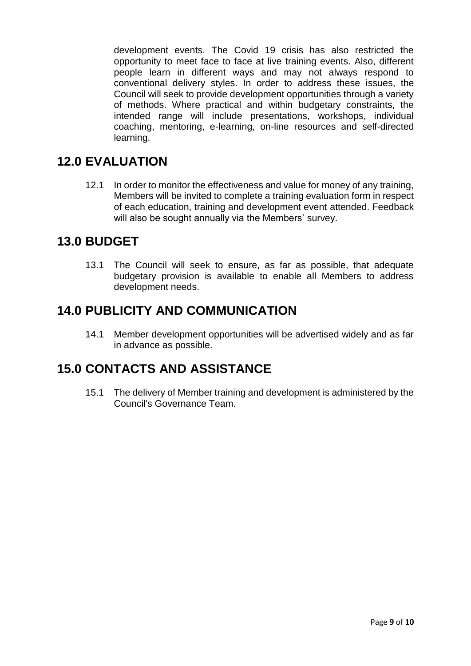development events. The Covid 19 crisis has also restricted the opportunity to meet face to face at live training events. Also, different people learn in different ways and may not always respond to conventional delivery styles. In order to address these issues, the Council will seek to provide development opportunities through a variety of methods. Where practical and within budgetary constraints, the intended range will include presentations, workshops, individual coaching, mentoring, e-learning, on-line resources and self-directed learning.

#### **12.0 EVALUATION**

12.1 In order to monitor the effectiveness and value for money of any training, Members will be invited to complete a training evaluation form in respect of each education, training and development event attended. Feedback will also be sought annually via the Members' survey.

#### **13.0 BUDGET**

13.1 The Council will seek to ensure, as far as possible, that adequate budgetary provision is available to enable all Members to address development needs.

#### **14.0 PUBLICITY AND COMMUNICATION**

14.1 Member development opportunities will be advertised widely and as far in advance as possible.

#### **15.0 CONTACTS AND ASSISTANCE**

15.1 The delivery of Member training and development is administered by the Council's Governance Team.